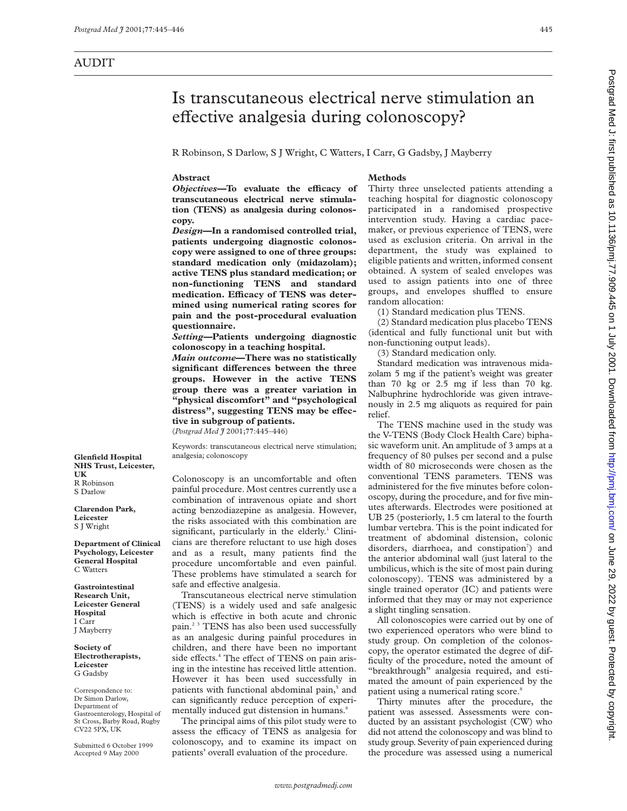# Is transcutaneous electrical nerve stimulation an effective analgesia during colonoscopy?

R Robinson, S Darlow, S J Wright, C Watters, I Carr, G Gadsby, J Mayberry

## **Abstract**

*Objectives*—To evaluate the efficacy of **transcutaneous electrical nerve stimulation (TENS) as analgesia during colonoscopy.**

*Design***—In a randomised controlled trial, patients undergoing diagnostic colonoscopy were assigned to one of three groups: standard medication only (midazolam); active TENS plus standard medication; or non-functioning TENS and standard** medication. Efficacy of TENS was deter**mined using numerical rating scores for pain and the post-procedural evaluation questionnaire.**

*Setting—***Patients undergoing diagnostic colonoscopy in a teaching hospital.**

*Main outcome***—There was no statistically significant differences between the three groups. However in the active TENS group there was a greater variation in "physical discomfort" and "psychological** distress", suggesting TENS may be effec**tive in subgroup of patients.**

(*Postgrad Med J* 2001;**77**:445–446)

Keywords: transcutaneous electrical nerve stimulation; analgesia; colonoscopy

Colonoscopy is an uncomfortable and often painful procedure. Most centres currently use a combination of intravenous opiate and short acting benzodiazepine as analgesia. However, the risks associated with this combination are significant, particularly in the elderly.<sup>1</sup> Clinicians are therefore reluctant to use high doses and as a result, many patients find the procedure uncomfortable and even painful. These problems have stimulated a search for safe and effective analgesia.

Transcutaneous electrical nerve stimulation (TENS) is a widely used and safe analgesic which is effective in both acute and chronic pain.2 3 TENS has also been used successfully as an analgesic during painful procedures in children, and there have been no important side effects.<sup>4</sup> The effect of TENS on pain arising in the intestine has received little attention. However it has been used successfully in patients with functional abdominal pain,<sup>5</sup> and can significantly reduce perception of experimentally induced gut distension in humans.<sup>6</sup>

The principal aims of this pilot study were to assess the efficacy of TENS as analgesia for colonoscopy, and to examine its impact on patients' overall evaluation of the procedure.

## **Methods**

Thirty three unselected patients attending a teaching hospital for diagnostic colonoscopy participated in a randomised prospective intervention study. Having a cardiac pacemaker, or previous experience of TENS, were used as exclusion criteria. On arrival in the department, the study was explained to eligible patients and written, informed consent obtained. A system of sealed envelopes was used to assign patients into one of three groups, and envelopes shuffled to ensure random allocation:

(1) Standard medication plus TENS.

(2) Standard medication plus placebo TENS (identical and fully functional unit but with non-functioning output leads).

(3) Standard medication only.

Standard medication was intravenous midazolam 5 mg if the patient's weight was greater than 70 kg or 2.5 mg if less than 70 kg. Nalbuphrine hydrochloride was given intravenously in 2.5 mg aliquots as required for pain relief.

The TENS machine used in the study was the V-TENS (Body Clock Health Care) biphasic waveform unit. An amplitude of 3 amps at a frequency of 80 pulses per second and a pulse width of 80 microseconds were chosen as the conventional TENS parameters. TENS was administered for the five minutes before colonoscopy, during the procedure, and for five minutes afterwards. Electrodes were positioned at UB 25 (posteriorly, 1.5 cm lateral to the fourth lumbar vertebra. This is the point indicated for treatment of abdominal distension, colonic disorders, diarrhoea, and constipation<sup>7</sup>) and the anterior abdominal wall (just lateral to the umbilicus, which is the site of most pain during colonoscopy). TENS was administered by a single trained operator (IC) and patients were informed that they may or may not experience a slight tingling sensation.

All colonoscopies were carried out by one of two experienced operators who were blind to study group. On completion of the colonoscopy, the operator estimated the degree of difficulty of the procedure, noted the amount of "breakthrough" analgesia required, and estimated the amount of pain experienced by the patient using a numerical rating score.<sup>8</sup>

Thirty minutes after the procedure, the patient was assessed. Assessments were conducted by an assistant psychologist (CW) who did not attend the colonoscopy and was blind to study group. Severity of pain experienced during the procedure was assessed using a numerical

Postgrad Med J: first published as 10.1136/pmj.77.909.445 on 1 July 2001. Downloaded from http://pmj.com/ on June 29, 2022 by guest. Protected by copyright on June 29, 2022 by guest. Protected by copyright. <http://pmj.bmj.com/> Postgrad Med J: first published as 10.1136/pmj.77.909.445 on 1 July 2001. Downloaded from

**Glenfield Hospital NHS Trust, Leicester, UK** R Robinson S Darlow

**Clarendon Park, Leicester** S J Wright

**Department of Clinical Psychology, Leicester General Hospital** C Watters

**Gastrointestinal Research Unit, Leicester General Hospital** I Carr J Mayberry

**Society of Electrotherapists, Leicester** G Gadsby

Correspondence to: Dr Simon Darlow, Department of Gastroenterology, Hospital of St Cross, Barby Road, Rugby CV22 5PX, UK

Submitted 6 October 1999 Accepted 9 May 2000